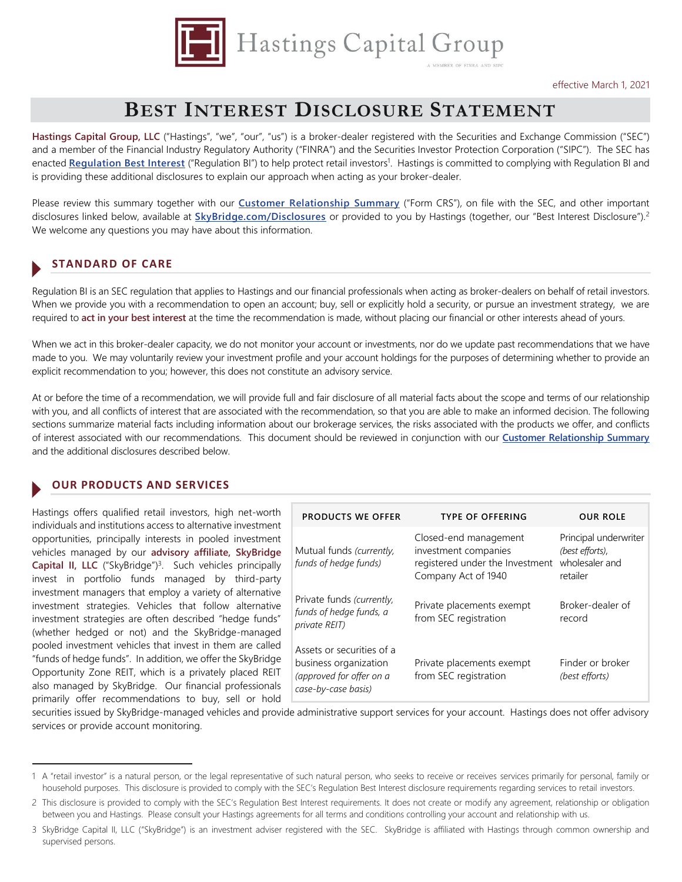

# **BEST INTEREST DISCLOSURE STATEMENT**

Hastings Capital Group, LLC ("Hastings", "we", "our", "us") is a broker-dealer registered with the Securities and Exchange Commission ("SEC") and a member of the Financial Industry Regulatory Authority ("FINRA") and the Securities Investor Protection Corporation ("SIPC"). The SEC has enacted **[Regulation Best Interest](https://www.sec.gov/regulation-best-interest)** ("Regulation BI") to help protect retail investors<sup>1</sup>. Hastings is committed to complying with Regulation BI and is providing these additional disclosures to explain our approach when acting as your broker-dealer.

Please review this summary together with our **[Customer Relationship Summary](http://skybridge.com/documents/CRS)** ("Form CRS"), on file with the SEC, and other important disclosures linked below, available at **[SkyBridge.com/Disclosures](http://skybridge.com/disclosures)** or provided to you by Hastings (together, our "Best Interest Disclosure").<sup>2</sup> We welcome any questions you may have about this information.

## **STANDARD OF CARE**

Regulation BI is an SEC regulation that applies to Hastings and our financial professionals when acting as broker-dealers on behalf of retail investors. When we provide you with a recommendation to open an account; buy, sell or explicitly hold a security, or pursue an investment strategy, we are required to **act in your best interest** at the time the recommendation is made, without placing our financial or other interests ahead of yours.

When we act in this broker-dealer capacity, we do not monitor your account or investments, nor do we update past recommendations that we have made to you. We may voluntarily review your investment profile and your account holdings for the purposes of determining whether to provide an explicit recommendation to you; however, this does not constitute an advisory service.

At or before the time of a recommendation, we will provide full and fair disclosure of all material facts about the scope and terms of our relationship with you, and all conflicts of interest that are associated with the recommendation, so that you are able to make an informed decision. The following sections summarize material facts including information about our brokerage services, the risks associated with the products we offer, and conflicts of interest associated with our recommendations. This document should be reviewed in conjunction with our **[Customer Relationship Summary](http://skybridge.com/documents/CRS)** and the additional disclosures described below.

#### **OUR PRODUCTS AND SERVICES**

Hastings offers qualified retail investors, high net-worth individuals and institutions access to alternative investment opportunities, principally interests in pooled investment vehicles managed by our **advisory affiliate, SkyBridge Capital II, LLC** ("SkyBridge")<sup>3</sup>. Such vehicles principally invest in portfolio funds managed by third-party investment managers that employ a variety of alternative investment strategies. Vehicles that follow alternative investment strategies are often described "hedge funds" (whether hedged or not) and the SkyBridge-managed pooled investment vehicles that invest in them are called "funds of hedge funds". In addition, we offer the SkyBridge Opportunity Zone REIT, which is a privately placed REIT also managed by SkyBridge. Our financial professionals primarily offer recommendations to buy, sell or hold

l

| <b>PRODUCTS WE OFFER</b>                                                                              | <b>TYPE OF OFFERING</b>                                                                                 | <b>OUR ROLE</b>                                                        |
|-------------------------------------------------------------------------------------------------------|---------------------------------------------------------------------------------------------------------|------------------------------------------------------------------------|
| Mutual funds (currently,<br>funds of hedge funds)                                                     | Closed-end management<br>investment companies<br>registered under the Investment<br>Company Act of 1940 | Principal underwriter<br>(best efforts),<br>wholesaler and<br>retailer |
| Private funds (currently,<br>funds of hedge funds, a<br><i>private REIT</i> )                         | Private placements exempt<br>from SEC registration                                                      | Broker-dealer of<br>record                                             |
| Assets or securities of a<br>business organization<br>(approved for offer on a<br>case-by-case basis) | Private placements exempt<br>from SEC registration                                                      | Finder or broker<br>(best efforts)                                     |

securities issued by SkyBridge-managed vehicles and provide administrative support services for your account. Hastings does not offer advisory services or provide account monitoring.

<sup>1</sup> A "retail investor" is a natural person, or the legal representative of such natural person, who seeks to receive or receives services primarily for personal, family or household purposes. This disclosure is provided to comply with the SEC's Regulation Best Interest disclosure requirements regarding services to retail investors.

<sup>2</sup> This disclosure is provided to comply with the SEC's Regulation Best Interest requirements. It does not create or modify any agreement, relationship or obligation between you and Hastings. Please consult your Hastings agreements for all terms and conditions controlling your account and relationship with us.

<sup>3</sup> SkyBridge Capital II, LLC ("SkyBridge") is an investment adviser registered with the SEC. SkyBridge is affiliated with Hastings through common ownership and supervised persons.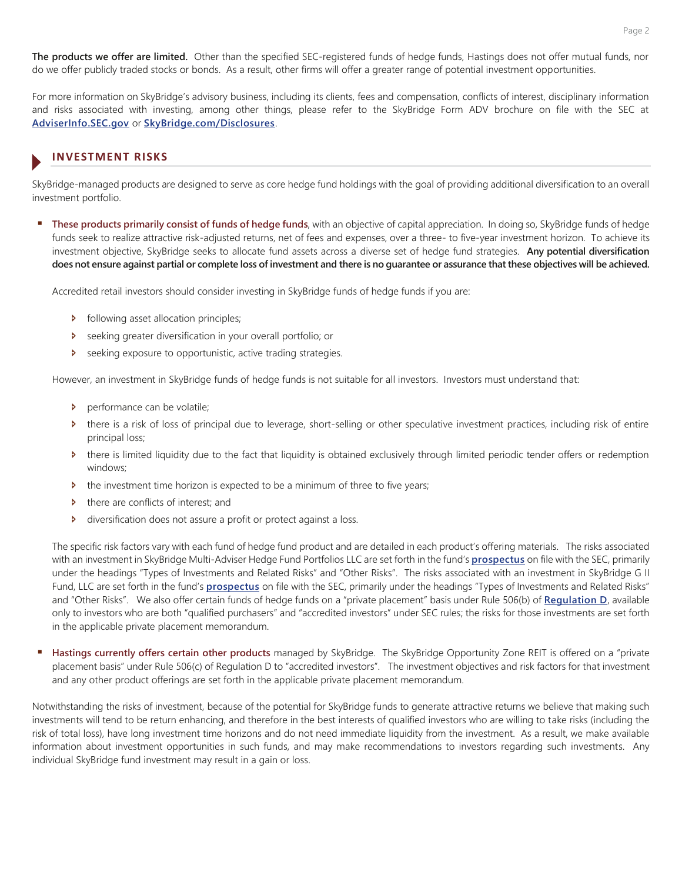**The products we offer are limited.** Other than the specified SEC-registered funds of hedge funds, Hastings does not offer mutual funds, nor do we offer publicly traded stocks or bonds. As a result, other firms will offer a greater range of potential investment opportunities.

For more information on SkyBridge's advisory business, including its clients, fees and compensation, conflicts of interest, disciplinary information and risks associated with investing, among other things, please refer to the SkyBridge Form ADV brochure on file with the SEC at **[AdviserInfo.SEC.gov](https://adviserinfo.sec.gov/firm/summary/148152)** or **[SkyBridge.com/Disclosures](http://skybridge.com/disclosures)**.

# **INVESTMENT RISKS**

SkyBridge-managed products are designed to serve as core hedge fund holdings with the goal of providing additional diversification to an overall investment portfolio.

 **These products primarily consist of funds of hedge funds**, with an objective of capital appreciation. In doing so, SkyBridge funds of hedge funds seek to realize attractive risk-adjusted returns, net of fees and expenses, over a three- to five-year investment horizon. To achieve its investment objective, SkyBridge seeks to allocate fund assets across a diverse set of hedge fund strategies. **Any potential diversification does not ensure against partial or complete loss of investment and there is no guarantee or assurance that these objectives will be achieved.** 

Accredited retail investors should consider investing in SkyBridge funds of hedge funds if you are:

- $\triangleright$  following asset allocation principles;
- Ð seeking greater diversification in your overall portfolio; or
- Ð seeking exposure to opportunistic, active trading strategies.

However, an investment in SkyBridge funds of hedge funds is not suitable for all investors. Investors must understand that:

- **Derformance can be volatile;**
- Ð there is a risk of loss of principal due to leverage, short-selling or other speculative investment practices, including risk of entire principal loss;
- Ð there is limited liquidity due to the fact that liquidity is obtained exclusively through limited periodic tender offers or redemption windows;
- b the investment time horizon is expected to be a minimum of three to five years;
- Ð there are conflicts of interest; and
- Ð diversification does not assure a profit or protect against a loss.

The specific risk factors vary with each fund of hedge fund product and are detailed in each product's offering materials. The risks associated with an investment in SkyBridge Multi-Adviser Hedge Fund Portfolios LLC are set forth in the fund's **[prospectus](https://www.sec.gov/Archives/edgar/data/1181848/000119312520181350/d947057dpos8c.htm)** on file with the SEC, primarily under the headings "Types of Investments and Related Risks" and "Other Risks". The risks associated with an investment in SkyBridge G II Fund, LLC are set forth in the fund's **[prospectus](https://www.sec.gov/Archives/edgar/data/1520568/000119312520181348/d947048dpos8c.htm)** on file with the SEC, primarily under the headings "Types of Investments and Related Risks" and "Other Risks". We also offer certain funds of hedge funds on a "private placement" basis under Rule 506(b) of **[Regulation D](https://www.investor.gov/introduction-investing/investing-basics/glossary/rule-506-regulation-d)**, available only to investors who are both "qualified purchasers" and "accredited investors" under SEC rules; the risks for those investments are set forth in the applicable private placement memorandum.

 **Hastings currently offers certain other products** managed by SkyBridge. The SkyBridge Opportunity Zone REIT is offered on a "private placement basis" under Rule 506(c) of Regulation D to "accredited investors". The investment objectives and risk factors for that investment and any other product offerings are set forth in the applicable private placement memorandum.

Notwithstanding the risks of investment, because of the potential for SkyBridge funds to generate attractive returns we believe that making such investments will tend to be return enhancing, and therefore in the best interests of qualified investors who are willing to take risks (including the risk of total loss), have long investment time horizons and do not need immediate liquidity from the investment. As a result, we make available information about investment opportunities in such funds, and may make recommendations to investors regarding such investments. Any individual SkyBridge fund investment may result in a gain or loss.